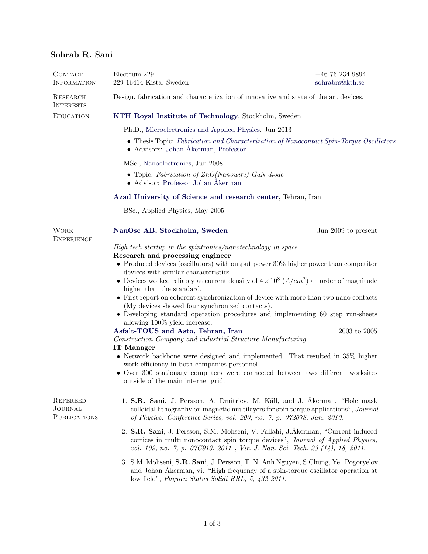## Sohrab R. Sani

| CONTACT<br><b>INFORMATION</b>                            | Electrum 229<br>229-16414 Kista, Sweden                                                                                                                                                                                                                                                                                                                                                                                                                                                                                                                                                                                                                                                                                                                                                                                                                                                                                                                                                                                          | $+46$ 76-234-9894<br>sohrabrs@kth.se |  |
|----------------------------------------------------------|----------------------------------------------------------------------------------------------------------------------------------------------------------------------------------------------------------------------------------------------------------------------------------------------------------------------------------------------------------------------------------------------------------------------------------------------------------------------------------------------------------------------------------------------------------------------------------------------------------------------------------------------------------------------------------------------------------------------------------------------------------------------------------------------------------------------------------------------------------------------------------------------------------------------------------------------------------------------------------------------------------------------------------|--------------------------------------|--|
| RESEARCH<br><b>INTERESTS</b>                             | Design, fabrication and characterization of innovative and state of the art devices.                                                                                                                                                                                                                                                                                                                                                                                                                                                                                                                                                                                                                                                                                                                                                                                                                                                                                                                                             |                                      |  |
| <b>EDUCATION</b>                                         | KTH Royal Institute of Technology, Stockholm, Sweden                                                                                                                                                                                                                                                                                                                                                                                                                                                                                                                                                                                                                                                                                                                                                                                                                                                                                                                                                                             |                                      |  |
|                                                          | Ph.D., Microelectronics and Applied Physics, Jun 2013                                                                                                                                                                                                                                                                                                                                                                                                                                                                                                                                                                                                                                                                                                                                                                                                                                                                                                                                                                            |                                      |  |
|                                                          | • Thesis Topic: Fabrication and Characterization of Nanocontact Spin-Torque Oscillators<br>• Advisors: Johan Åkerman, Professor                                                                                                                                                                                                                                                                                                                                                                                                                                                                                                                                                                                                                                                                                                                                                                                                                                                                                                  |                                      |  |
|                                                          | MSc., Nanoelectronics, Jun 2008                                                                                                                                                                                                                                                                                                                                                                                                                                                                                                                                                                                                                                                                                                                                                                                                                                                                                                                                                                                                  |                                      |  |
|                                                          | • Topic: Fabrication of $ZnO(Nanowire)$ -GaN diode<br>$\bullet$ Advisor: Professor Johan Åkerman                                                                                                                                                                                                                                                                                                                                                                                                                                                                                                                                                                                                                                                                                                                                                                                                                                                                                                                                 |                                      |  |
|                                                          | Azad University of Science and research center, Tehran, Iran                                                                                                                                                                                                                                                                                                                                                                                                                                                                                                                                                                                                                                                                                                                                                                                                                                                                                                                                                                     |                                      |  |
|                                                          | BSc., Applied Physics, May 2005                                                                                                                                                                                                                                                                                                                                                                                                                                                                                                                                                                                                                                                                                                                                                                                                                                                                                                                                                                                                  |                                      |  |
| <b>WORK</b><br><b>EXPERIENCE</b>                         | NanOsc AB, Stockholm, Sweden                                                                                                                                                                                                                                                                                                                                                                                                                                                                                                                                                                                                                                                                                                                                                                                                                                                                                                                                                                                                     | Jun 2009 to present                  |  |
|                                                          | High tech startup in the spintronics/nanotechnology in space<br>Research and processing engineer<br>• Produced devices (oscillators) with output power $30\%$ higher power than competitor<br>devices with similar characteristics.<br>• Devices worked reliably at current density of $4 \times 10^8$ ( $A/cm^2$ ) an order of magnitude<br>higher than the standard.<br>• First report on coherent synchronization of device with more than two nano contacts<br>(My devices showed four synchronized contacts).<br>• Developing standard operation procedures and implementing 60 step run-sheets<br>allowing 100% yield increase.<br>Asfalt-TOUS and Asto, Tehran, Iran<br>Construction Company and industrial Structure Manufacturing<br><b>IT Manager</b><br>$\bullet$ Network backbone were designed and implemented. That resulted in 35% higher<br>work efficiency in both companies personnel.<br>• Over 300 stationary computers were connected between two different worksites<br>outside of the main internet grid. | $2003$ to $2005\,$                   |  |
| <b>REFEREED</b><br><b>JOURNAL</b><br><b>PUBLICATIONS</b> | 1. S.R. Sani, J. Persson, A. Dmitriev, M. Käll, and J. Åkerman, "Hole mask<br>colloidal lithography on magnetic multilayers for spin torque applications", Journal<br>of Physics: Conference Series, vol. 200, no. 7, p. 072078, Jan. 2010.<br>2. S.R. Sani, J. Persson, S.M. Mohseni, V. Fallahi, J. Åkerman, "Current induced<br>cortices in multi nonocontact spin torque devices", Journal of Applied Physics,<br>vol. 109, no. 7, p. 07C913, 2011, Vir. J. Nan. Sci. Tech. 23 (14), 18, 2011.<br>3. S.M. Mohseni, S.R. Sani, J. Persson, T. N. Anh Nguyen, S.Chung, Ye. Pogoryelov,                                                                                                                                                                                                                                                                                                                                                                                                                                         |                                      |  |
|                                                          | and Johan Åkerman, vi. "High frequency of a spin-torque oscillator operation at<br>low field", Physica Status Solidi RRL, 5, 432 2011.                                                                                                                                                                                                                                                                                                                                                                                                                                                                                                                                                                                                                                                                                                                                                                                                                                                                                           |                                      |  |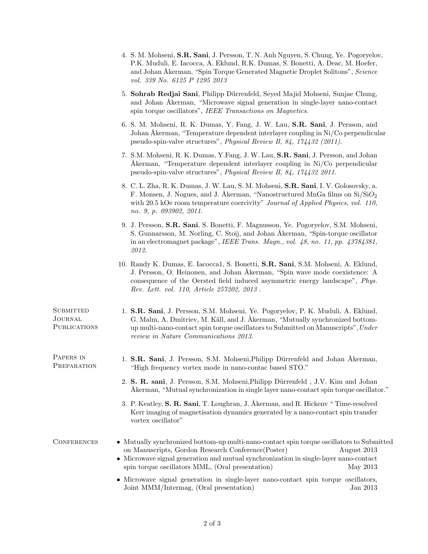|                                                    | 4. S. M. Mohseni, S.R. Sani, J. Persson, T. N. Anh Nguyen, S. Chung, Ye. Pogoryelov,<br>P.K. Muduli, E. Iacocca, A. Eklund, R.K. Dumas, S. Bonetti, A. Deac, M. Hoefer,<br>and Johan Åkerman, "Spin Torque Generated Magnetic Droplet Solitons", Science<br>vol. 339 No. 6125 P 1295 2013                                        |  |
|----------------------------------------------------|----------------------------------------------------------------------------------------------------------------------------------------------------------------------------------------------------------------------------------------------------------------------------------------------------------------------------------|--|
|                                                    | 5. Sohrab Redjai Sani, Philipp Dürrenfeld, Seyed Majid Mohseni, Sunjae Chung,<br>and Johan Akerman, "Microwave signal generation in single-layer nano-contact<br>spin torque oscillators", IEEE Transactions on Magnetics.                                                                                                       |  |
|                                                    | 6. S. M. Mohseni, R. K. Dumas, Y. Fang, J. W. Lau, S.R. Sani, J. Persson, and<br>Johan Åkerman, "Temperature dependent interlayer coupling in Ni/Co perpendicular<br>pseudo-spin-valve structures", Physical Review B, 84, 174432 (2011).                                                                                        |  |
|                                                    | 7. S.M. Mohseni, R. K. Dumas, Y. Fang, J. W. Lau, S.R. Sani, J. Persson, and Johan<br>Åkerman, "Temperature dependent interlayer coupling in Ni/Co perpendicular<br>pseudo-spin-valve structures", Physical Review B, 84, 174432 2011.                                                                                           |  |
|                                                    | 8. C. L. Zha, R. K. Dumas, J. W. Lau, S. M. Mohseni, S.R. Sani, I. V. Golosovsky, a.<br>F. Monsen, J. Nogues, and J. Åkerman, "Nanostructured MnGa films on $Si/SiO2$<br>with 20.5 kOe room temperature coercivity" Journal of Applied Physics, vol. 110,<br>no. 9, p. 093902, 2011.                                             |  |
|                                                    | 9. J. Persson, S.R. Sani, S. Bonetti, F. Magnusson, Ye. Pogoryelov, S.M. Mohseni,<br>S. Gunnarsson, M. Norling, C. Stoij, and Johan Åkerman, "Spin-torque oscillator"<br>in an electromagnet package", IEEE Trans. Magn., vol. $48$ , no. 11, pp. $43784381$ ,<br>2012.                                                          |  |
|                                                    | 10. Randy K. Dumas, E. Iacocca1, S. Bonetti, S.R. Sani, S.M. Mohseni, A. Eklund,<br>J. Persson, O. Heinonen, and Johan Åkerman, "Spin wave mode coexistence: A<br>consequence of the Oersted field induced asymmetric energy landscape", Phys.<br>Rev. Lett. vol. 110, Article 257202, 2013.                                     |  |
| <b>SUBMITTED</b><br>JOURNAL<br><b>PUBLICATIONS</b> | 1. S.R. Sani, J. Persson, S.M. Mohseni, Ye. Pogoryelov, P. K. Muduli, A. Eklund,<br>G. Malm, A. Dmitriev, M. Käll, and J. Åkerman, "Mutually synchronized bottom-<br>up multi-nano-contact spin torque oscillators to Submitted on Manuscripts", Under<br>review in Nature Communications 2013.                                  |  |
| PAPERS IN<br>PREPARATION                           | 1. S.R. Sani, J. Persson, S.M. Mohseni, Philipp Dürrenfeld and Johan Åkerman,<br>"High frequency vortex mode in nano-contac based STO."                                                                                                                                                                                          |  |
|                                                    | 2. S. R. sani, J. Persson, S.M. Mohseni, Philipp Dürrenfeld, J.V. Kim and Johan<br>Akerman, "Mutual synchronization in single layer nano-contact spin torque oscillator."                                                                                                                                                        |  |
|                                                    | 3. P. Keatley, S. R. Sani, T. Loughran, J. Åkerman, and R. Hickenv "Time-resolved<br>Kerr imaging of magnetisation dynamics generated by a nano-contact spin transfer<br>vortex oscillator"                                                                                                                                      |  |
| <b>CONFERENCES</b>                                 | • Mutually synchronized bottom-up multi-nano-contact spin torque oscillators to Submitted<br>on Manuscripts, Gordon Research Conference(Poster)<br>August 2013<br>$\bullet~$ Microwave signal generation and mutual synchronization in single-layer nano-contact<br>spin torque oscillators MML, (Oral presentation)<br>May 2013 |  |
|                                                    | • Microwave signal generation in single-layer nano-contact spin torque oscillators,<br>Joint MMM/Intermag, (Oral presentation)<br>Jan 2013                                                                                                                                                                                       |  |